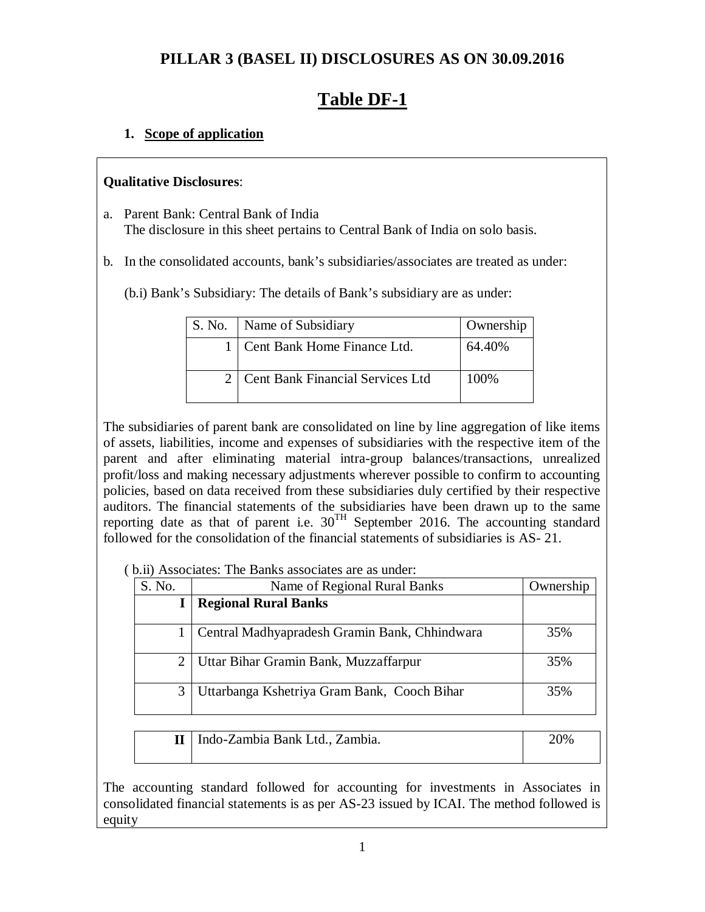## **PILLAR 3 (BASEL II) DISCLOSURES AS ON 30.09.2016**

# **Table DF-1**

## **1. Scope of application**

## **Qualitative Disclosures**:

- a. Parent Bank: Central Bank of India The disclosure in this sheet pertains to Central Bank of India on solo basis.
- b. In the consolidated accounts, bank's subsidiaries/associates are treated as under:
	- (b.i) Bank's Subsidiary: The details of Bank's subsidiary are as under:

| S. No. | Name of Subsidiary                      | Ownership |
|--------|-----------------------------------------|-----------|
|        | Cent Bank Home Finance Ltd.             | 64.40%    |
|        | <b>Cent Bank Financial Services Ltd</b> | 100%      |

The subsidiaries of parent bank are consolidated on line by line aggregation of like items of assets, liabilities, income and expenses of subsidiaries with the respective item of the parent and after eliminating material intra-group balances/transactions, unrealized profit/loss and making necessary adjustments wherever possible to confirm to accounting policies, based on data received from these subsidiaries duly certified by their respective auditors. The financial statements of the subsidiaries have been drawn up to the same reporting date as that of parent i.e.  $30^{TH}$  September 2016. The accounting standard followed for the consolidation of the financial statements of subsidiaries is AS- 21.

( b.ii) Associates: The Banks associates are as under:

| S. No. | Name of Regional Rural Banks                  | Ownership |
|--------|-----------------------------------------------|-----------|
|        | <b>Regional Rural Banks</b>                   |           |
|        | Central Madhyapradesh Gramin Bank, Chhindwara | 35%       |
|        | Uttar Bihar Gramin Bank, Muzzaffarpur         | 35%       |
|        | Uttarbanga Kshetriya Gram Bank, Cooch Bihar   | 35%       |

| II   Indo-Zambia Bank Ltd., Zambia. | 20% |
|-------------------------------------|-----|
|                                     |     |

The accounting standard followed for accounting for investments in Associates in consolidated financial statements is as per AS-23 issued by ICAI. The method followed is equity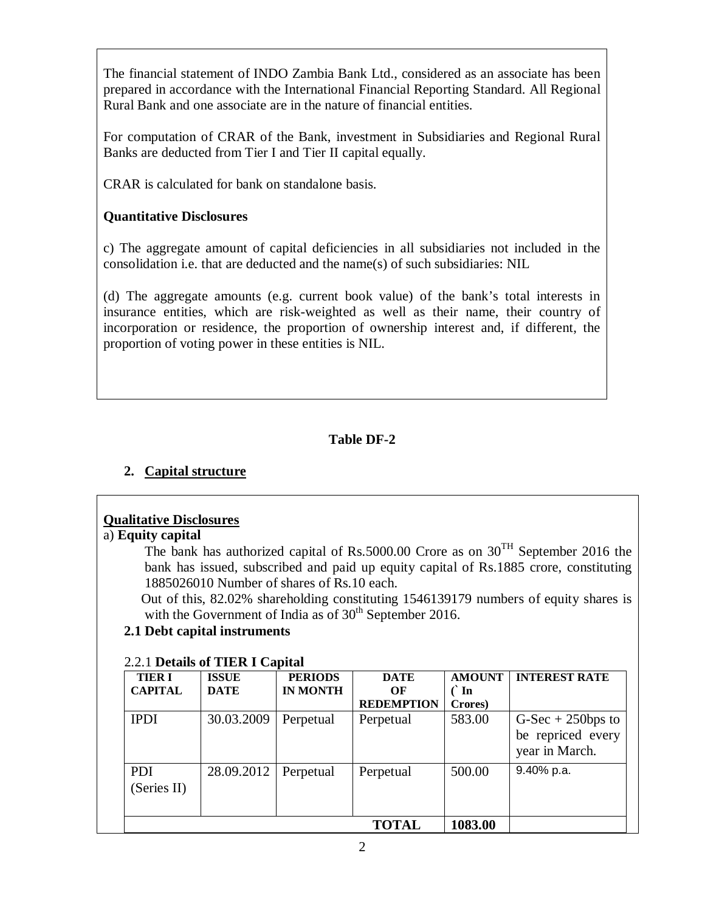The financial statement of INDO Zambia Bank Ltd., considered as an associate has been prepared in accordance with the International Financial Reporting Standard. All Regional Rural Bank and one associate are in the nature of financial entities.

For computation of CRAR of the Bank, investment in Subsidiaries and Regional Rural Banks are deducted from Tier I and Tier II capital equally.

CRAR is calculated for bank on standalone basis.

## **Quantitative Disclosures**

c) The aggregate amount of capital deficiencies in all subsidiaries not included in the consolidation i.e. that are deducted and the name(s) of such subsidiaries: NIL

(d) The aggregate amounts (e.g. current book value) of the bank's total interests in insurance entities, which are risk-weighted as well as their name, their country of incorporation or residence, the proportion of ownership interest and, if different, the proportion of voting power in these entities is NIL.

## **Table DF-2**

## **2. Capital structure**

## **Qualitative Disclosures**

#### a) **Equity capital**

The bank has authorized capital of Rs.5000.00 Crore as on  $30^{TH}$  September 2016 the bank has issued, subscribed and paid up equity capital of Rs.1885 crore, constituting 1885026010 Number of shares of Rs.10 each.

 Out of this, 82.02% shareholding constituting 1546139179 numbers of equity shares is with the Government of India as of  $30<sup>th</sup>$  September 2016.

## **2.1 Debt capital instruments**

| <b>TIER I</b><br><b>CAPITAL</b> | <b>ISSUE</b><br><b>DATE</b> | <b>PERIODS</b><br><b>IN MONTH</b> | <b>DATE</b><br>OF | <b>AMOUNT</b><br>$\int$ In | <b>INTEREST RATE</b>                                       |
|---------------------------------|-----------------------------|-----------------------------------|-------------------|----------------------------|------------------------------------------------------------|
|                                 |                             |                                   | <b>REDEMPTION</b> | Crores)                    |                                                            |
| <b>IPDI</b>                     | 30.03.2009                  | Perpetual                         | Perpetual         | 583.00                     | $G-Sec + 250bps$ to<br>be repriced every<br>year in March. |
| <b>PDI</b><br>(Series II)       | 28.09.2012                  | Perpetual                         | Perpetual         | 500.00                     | 9.40% p.a.                                                 |
|                                 |                             |                                   | TOTAL             | 1083.00                    |                                                            |

## 2.2.1 **Details of TIER I Capital**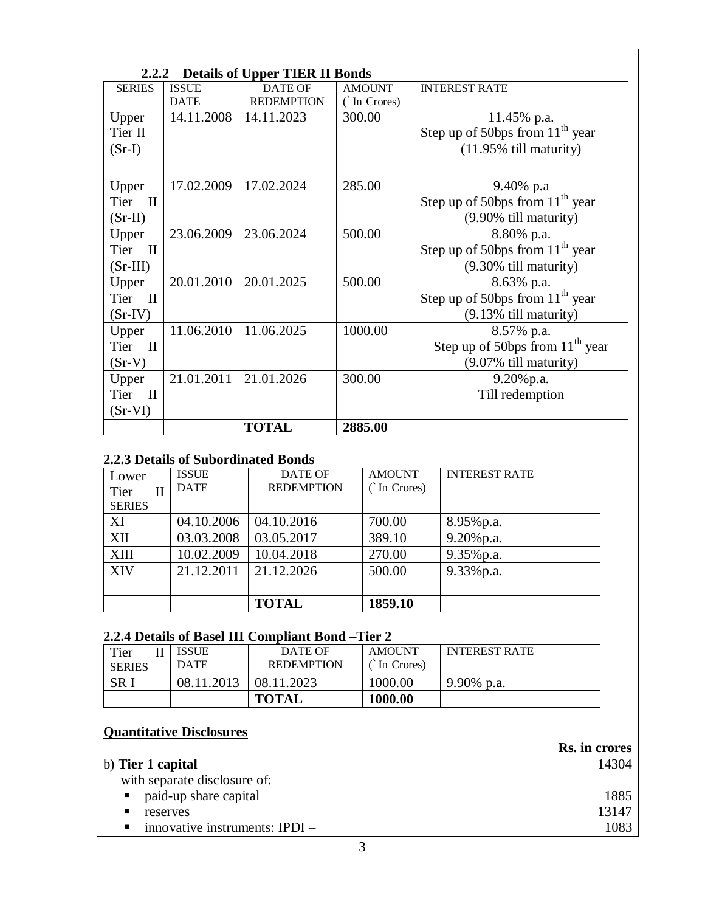|                      | <b>Details of Upper TIER II Bonds</b><br>2.2.2 |                   |               |                                      |  |  |
|----------------------|------------------------------------------------|-------------------|---------------|--------------------------------------|--|--|
| <b>SERIES</b>        | <b>ISSUE</b>                                   | <b>DATE OF</b>    | <b>AMOUNT</b> | <b>INTEREST RATE</b>                 |  |  |
|                      | <b>DATE</b>                                    | <b>REDEMPTION</b> | (`In Crores)  |                                      |  |  |
| Upper                | 14.11.2008                                     | 14.11.2023        | 300.00        | 11.45% p.a.                          |  |  |
| Tier II              |                                                |                   |               | Step up of 50bps from $11^{th}$ year |  |  |
| $(Sr-I)$             |                                                |                   |               | $(11.95\%$ till maturity)            |  |  |
|                      |                                                |                   |               |                                      |  |  |
| Upper                | 17.02.2009                                     | 17.02.2024        | 285.00        | 9.40% p.a                            |  |  |
| Tier<br>$\mathbf{H}$ |                                                |                   |               | Step up of 50bps from $11^{th}$ year |  |  |
| $(Sr-II)$            |                                                |                   |               | (9.90% till maturity)                |  |  |
| Upper                | 23.06.2009                                     | 23.06.2024        | 500.00        | 8.80% p.a.                           |  |  |
| Tier II              |                                                |                   |               | Step up of 50bps from $11th$ year    |  |  |
| $(Sr-III)$           |                                                |                   |               | (9.30% till maturity)                |  |  |
| Upper                | 20.01.2010                                     | 20.01.2025        | 500.00        | 8.63% p.a.                           |  |  |
| Tier II              |                                                |                   |               | Step up of 50bps from $11th$ year    |  |  |
| $(Sr-IV)$            |                                                |                   |               | $(9.13\%$ till maturity)             |  |  |
| Upper                | 11.06.2010                                     | 11.06.2025        | 1000.00       | 8.57% p.a.                           |  |  |
| Tier II              |                                                |                   |               | Step up of 50bps from $11th$ year    |  |  |
| $(Sr-V)$             |                                                |                   |               | (9.07% till maturity)                |  |  |
| Upper                | 21.01.2011                                     | 21.01.2026        | 300.00        | $9.20\%$ p.a.                        |  |  |
| Tier II              |                                                |                   |               | Till redemption                      |  |  |
| $(Sr-VI)$            |                                                |                   |               |                                      |  |  |
|                      |                                                | <b>TOTAL</b>      | 2885.00       |                                      |  |  |

## **2.2.3 Details of Subordinated Bonds**

| Lower         | <b>ISSUE</b> | DATE OF           | <b>AMOUNT</b> | <b>INTEREST RATE</b> |
|---------------|--------------|-------------------|---------------|----------------------|
| Tier<br>П     | <b>DATE</b>  | <b>REDEMPTION</b> | (`In Crores)  |                      |
| <b>SERIES</b> |              |                   |               |                      |
| XI            | 04.10.2006   | 04.10.2016        | 700.00        | 8.95% p.a.           |
| XII           | 03.03.2008   | 03.05.2017        | 389.10        | 9.20% p.a.           |
| XIII          | 10.02.2009   | 10.04.2018        | 270.00        | 9.35% p.a.           |
| XIV           | 21.12.2011   | 21.12.2026        | 500.00        | 9.33% p.a.           |
|               |              |                   |               |                      |
|               |              | <b>TOTAL</b>      | 1859.10       |                      |

## **2.2.4 Details of Basel III Compliant Bond –Tier 2**

| Tier<br><b>SERIES</b> | <b>ISSUE</b><br><b>DATE</b> | DATE OF<br><b>REDEMPTION</b> | AMOUNT<br>In Crores) | <b>INTEREST RATE</b> |
|-----------------------|-----------------------------|------------------------------|----------------------|----------------------|
| $\rm SR$              | 08.11.2013                  | 08.11.2023                   | 1000.00              | $9.90\%$ p.a.        |
|                       |                             | <b>TOTAL</b>                 | 1000.00              |                      |

## **Quantitative Disclosures**

|                                                    | Rs. in crores |
|----------------------------------------------------|---------------|
| b) Tier 1 capital                                  | 14304         |
| with separate disclosure of:                       |               |
| paid-up share capital<br>$\blacksquare$ .          | 1885          |
| п<br>reserves                                      | 13147         |
| innovative instruments: $IPDI -$<br>$\blacksquare$ | 1083          |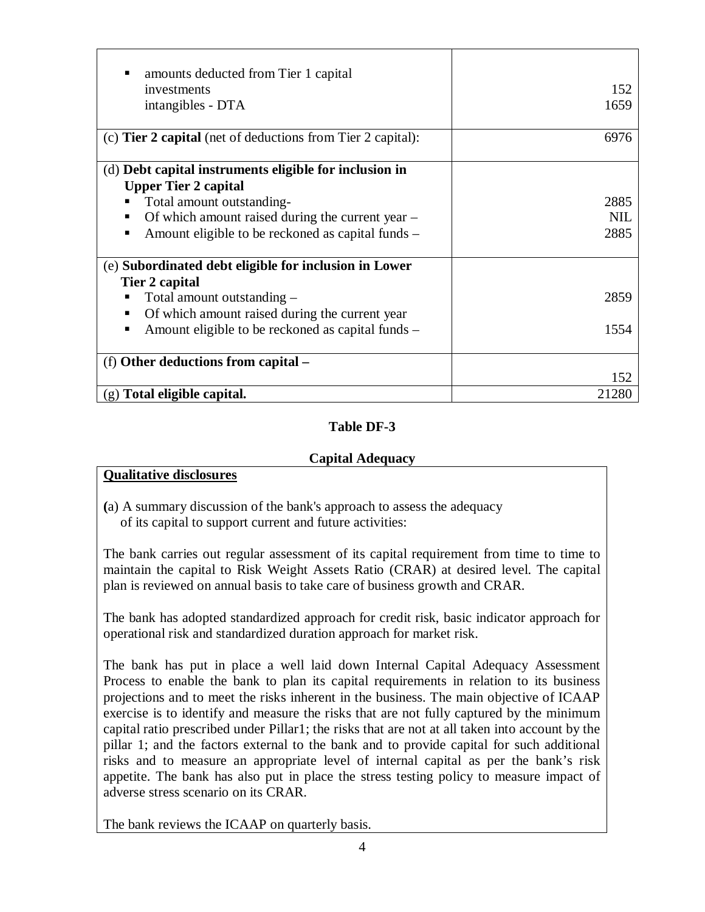| amounts deducted from Tier 1 capital                               |            |
|--------------------------------------------------------------------|------------|
| investments                                                        | 152        |
| intangibles - DTA                                                  | 1659       |
|                                                                    |            |
| (c) <b>Tier 2 capital</b> (net of deductions from Tier 2 capital): | 6976       |
|                                                                    |            |
| (d) Debt capital instruments eligible for inclusion in             |            |
| <b>Upper Tier 2 capital</b>                                        |            |
| Total amount outstanding-                                          | 2885       |
| Of which amount raised during the current year –                   | <b>NIL</b> |
| Amount eligible to be reckoned as capital funds –                  | 2885       |
|                                                                    |            |
| (e) Subordinated debt eligible for inclusion in Lower              |            |
| Tier 2 capital                                                     |            |
| Total amount outstanding –                                         | 2859       |
| Of which amount raised during the current year                     |            |
| Amount eligible to be reckoned as capital funds –                  | 1554       |
|                                                                    |            |
| (f) Other deductions from capital -                                |            |
|                                                                    | 152        |
| $(g)$ Total eligible capital.                                      | 21280      |

## **Capital Adequacy**

## **Qualitative disclosures**

**(**a) A summary discussion of the bank's approach to assess the adequacy of its capital to support current and future activities:

The bank carries out regular assessment of its capital requirement from time to time to maintain the capital to Risk Weight Assets Ratio (CRAR) at desired level. The capital plan is reviewed on annual basis to take care of business growth and CRAR.

The bank has adopted standardized approach for credit risk, basic indicator approach for operational risk and standardized duration approach for market risk.

The bank has put in place a well laid down Internal Capital Adequacy Assessment Process to enable the bank to plan its capital requirements in relation to its business projections and to meet the risks inherent in the business. The main objective of ICAAP exercise is to identify and measure the risks that are not fully captured by the minimum capital ratio prescribed under Pillar1; the risks that are not at all taken into account by the pillar 1; and the factors external to the bank and to provide capital for such additional risks and to measure an appropriate level of internal capital as per the bank's risk appetite. The bank has also put in place the stress testing policy to measure impact of adverse stress scenario on its CRAR.

The bank reviews the ICAAP on quarterly basis.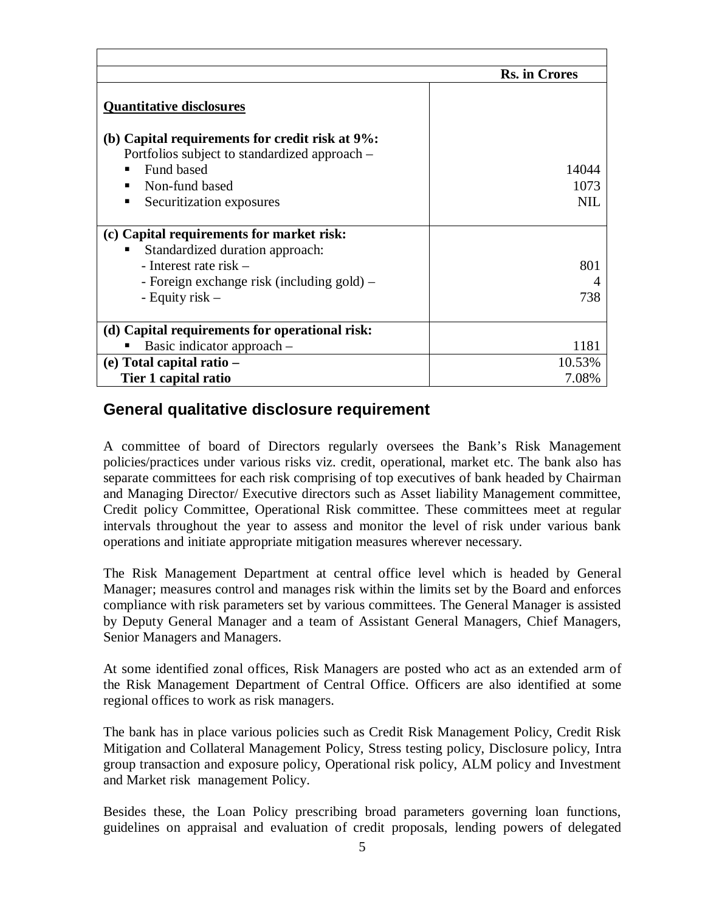|                                                 | <b>Rs. in Crores</b> |
|-------------------------------------------------|----------------------|
|                                                 |                      |
| <b>Quantitative disclosures</b>                 |                      |
| (b) Capital requirements for credit risk at 9%: |                      |
| Portfolios subject to standardized approach –   |                      |
| Fund based                                      | 14044                |
| Non-fund based                                  | 1073                 |
| Securitization exposures<br>▪                   | NII.                 |
|                                                 |                      |
| (c) Capital requirements for market risk:       |                      |
| Standardized duration approach:<br>п            |                      |
| - Interest rate risk $-$                        | 801                  |
| - Foreign exchange risk (including gold) –      |                      |
| - Equity risk $-$                               | 738                  |
|                                                 |                      |
| (d) Capital requirements for operational risk:  |                      |
| Basic indicator approach –                      | 1181                 |
| (e) Total capital ratio –                       | 10.53%               |
| Tier 1 capital ratio                            | 7.08%                |

## **General qualitative disclosure requirement**

A committee of board of Directors regularly oversees the Bank's Risk Management policies/practices under various risks viz. credit, operational, market etc. The bank also has separate committees for each risk comprising of top executives of bank headed by Chairman and Managing Director/ Executive directors such as Asset liability Management committee, Credit policy Committee, Operational Risk committee. These committees meet at regular intervals throughout the year to assess and monitor the level of risk under various bank operations and initiate appropriate mitigation measures wherever necessary.

The Risk Management Department at central office level which is headed by General Manager; measures control and manages risk within the limits set by the Board and enforces compliance with risk parameters set by various committees. The General Manager is assisted by Deputy General Manager and a team of Assistant General Managers, Chief Managers, Senior Managers and Managers.

At some identified zonal offices, Risk Managers are posted who act as an extended arm of the Risk Management Department of Central Office. Officers are also identified at some regional offices to work as risk managers.

The bank has in place various policies such as Credit Risk Management Policy, Credit Risk Mitigation and Collateral Management Policy, Stress testing policy, Disclosure policy, Intra group transaction and exposure policy, Operational risk policy, ALM policy and Investment and Market risk management Policy.

Besides these, the Loan Policy prescribing broad parameters governing loan functions, guidelines on appraisal and evaluation of credit proposals, lending powers of delegated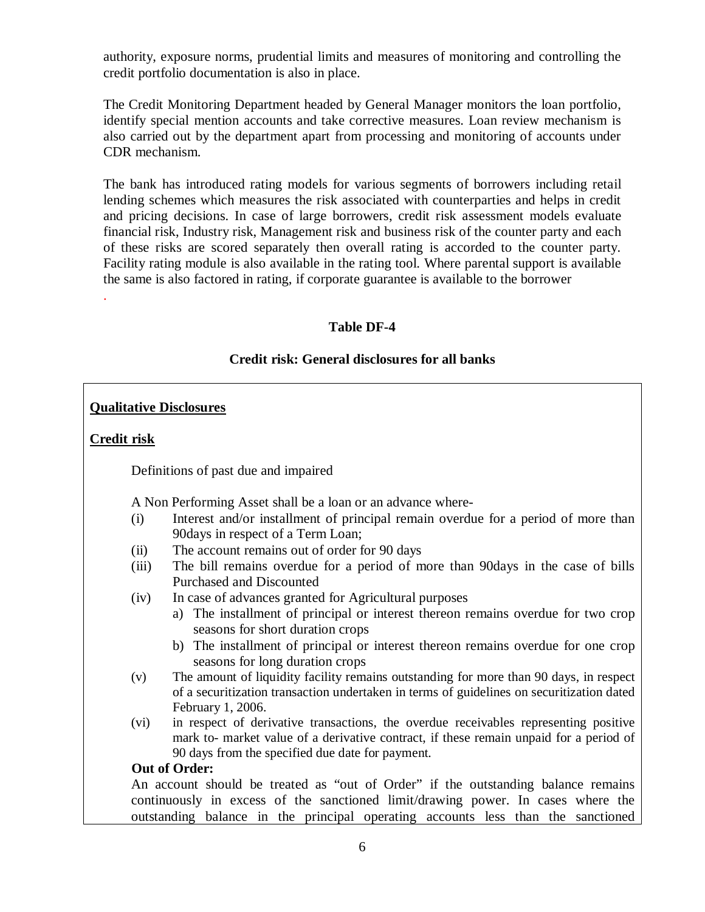authority, exposure norms, prudential limits and measures of monitoring and controlling the credit portfolio documentation is also in place.

The Credit Monitoring Department headed by General Manager monitors the loan portfolio, identify special mention accounts and take corrective measures. Loan review mechanism is also carried out by the department apart from processing and monitoring of accounts under CDR mechanism.

The bank has introduced rating models for various segments of borrowers including retail lending schemes which measures the risk associated with counterparties and helps in credit and pricing decisions. In case of large borrowers, credit risk assessment models evaluate financial risk, Industry risk, Management risk and business risk of the counter party and each of these risks are scored separately then overall rating is accorded to the counter party. Facility rating module is also available in the rating tool. Where parental support is available the same is also factored in rating, if corporate guarantee is available to the borrower

## **Table DF-4**

## **Credit risk: General disclosures for all banks**

## **Qualitative Disclosures**

## **Credit risk**

.

Definitions of past due and impaired

A Non Performing Asset shall be a loan or an advance where-

- (i) Interest and/or installment of principal remain overdue for a period of more than 90days in respect of a Term Loan;
- (ii) The account remains out of order for 90 days
- (iii) The bill remains overdue for a period of more than 90days in the case of bills Purchased and Discounted
- (iv) In case of advances granted for Agricultural purposes
	- a) The installment of principal or interest thereon remains overdue for two crop seasons for short duration crops
	- b) The installment of principal or interest thereon remains overdue for one crop seasons for long duration crops
- (v) The amount of liquidity facility remains outstanding for more than 90 days, in respect of a securitization transaction undertaken in terms of guidelines on securitization dated February 1, 2006.
- (vi) in respect of derivative transactions, the overdue receivables representing positive mark to- market value of a derivative contract, if these remain unpaid for a period of 90 days from the specified due date for payment.

## **Out of Order:**

 An account should be treated as "out of Order" if the outstanding balance remains continuously in excess of the sanctioned limit/drawing power. In cases where the outstanding balance in the principal operating accounts less than the sanctioned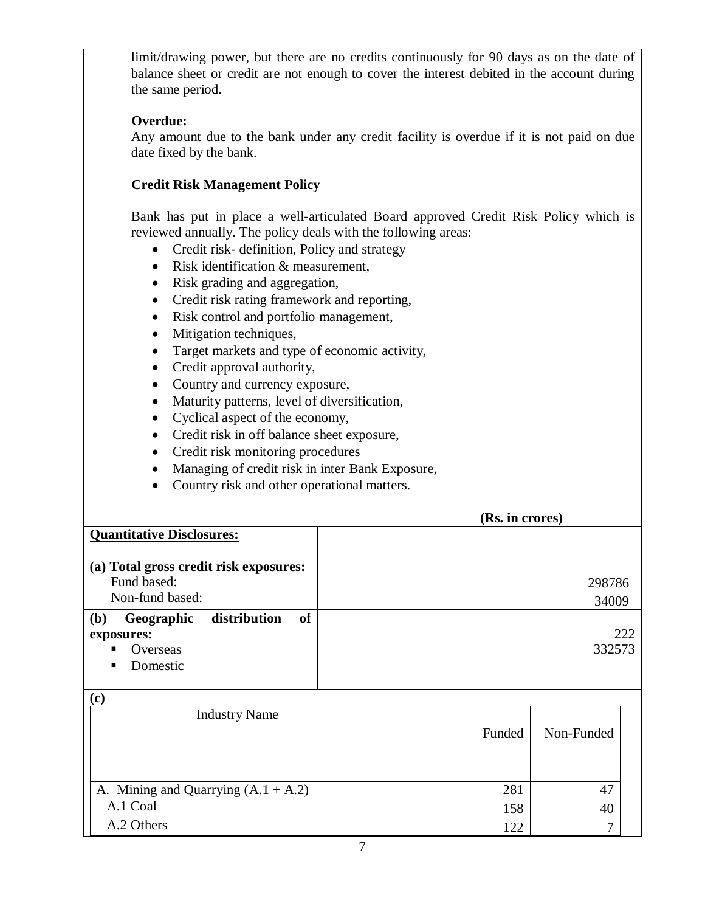limit/drawing power, but there are no credits continuously for 90 days as on the date of balance sheet or credit are not enough to cover the interest debited in the account during the same period.

## **Overdue:**

Any amount due to the bank under any credit facility is overdue if it is not paid on due date fixed by the bank.

## **Credit Risk Management Policy**

Bank has put in place a well-articulated Board approved Credit Risk Policy which is reviewed annually. The policy deals with the following areas:

- Credit risk- definition, Policy and strategy
- Risk identification & measurement,
- Risk grading and aggregation,
- Credit risk rating framework and reporting,
- Risk control and portfolio management,
- Mitigation techniques,
- Target markets and type of economic activity,
- Credit approval authority,
- Country and currency exposure,
- Maturity patterns, level of diversification,
- Cyclical aspect of the economy,
- Credit risk in off balance sheet exposure,
- Credit risk monitoring procedures
- Managing of credit risk in inter Bank Exposure,
- Country risk and other operational matters.

 **(Rs. in crores) Quantitative Disclosures: (a) Total gross credit risk exposures:**  Fund based: Non-fund based: 298786 34009 **(b) Geographic distribution of exposures: Overseas** • Domestic 222 332573

 $(n)$ 

| いじ                                    |        |            |
|---------------------------------------|--------|------------|
| <b>Industry Name</b>                  |        |            |
|                                       | Funded | Non-Funded |
|                                       |        |            |
|                                       |        |            |
|                                       |        |            |
| A. Mining and Quarrying $(A.1 + A.2)$ | 281    |            |
| A.1 Coal                              | 158    | 40         |
| A.2 Others                            | 122    |            |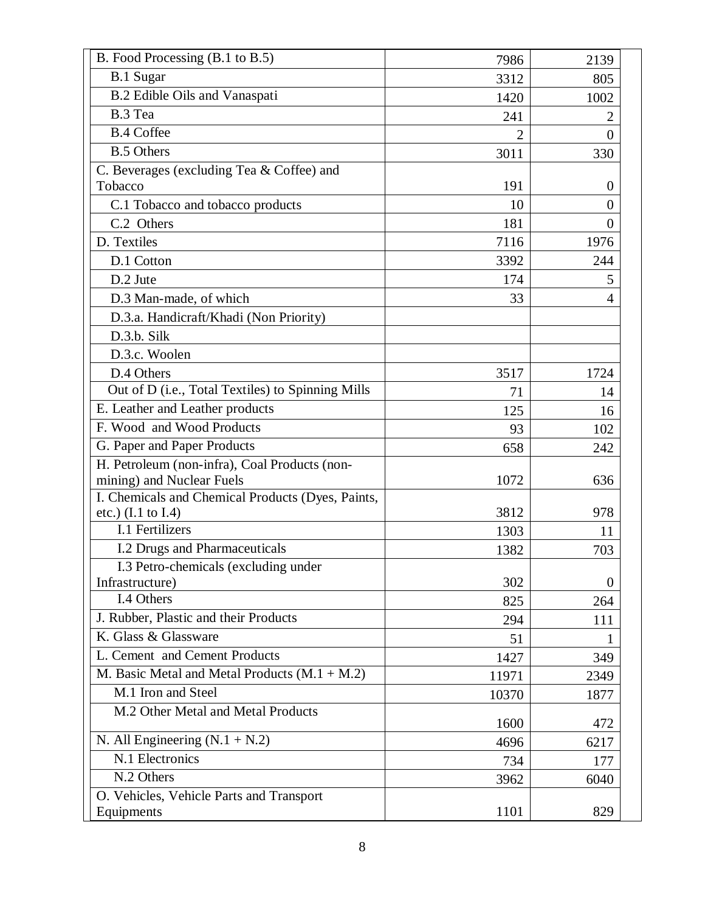| B. Food Processing (B.1 to B.5)                   | 7986           | 2139     |
|---------------------------------------------------|----------------|----------|
| B.1 Sugar                                         | 3312           | 805      |
| B.2 Edible Oils and Vanaspati                     | 1420           | 1002     |
| B.3 Tea                                           | 241            |          |
| <b>B.4 Coffee</b>                                 | $\overline{2}$ | $\theta$ |
| <b>B.5 Others</b>                                 | 3011           | 330      |
| C. Beverages (excluding Tea & Coffee) and         |                |          |
| Tobacco                                           | 191            | $\theta$ |
| C.1 Tobacco and tobacco products                  | 10             | $\Omega$ |
| C.2 Others                                        | 181            | $\theta$ |
| D. Textiles                                       | 7116           | 1976     |
| D.1 Cotton                                        | 3392           | 244      |
| D.2 Jute                                          | 174            | 5        |
| D.3 Man-made, of which                            | 33             | 4        |
| D.3.a. Handicraft/Khadi (Non Priority)            |                |          |
| D.3.b. Silk                                       |                |          |
| D.3.c. Woolen                                     |                |          |
| D.4 Others                                        | 3517           | 1724     |
| Out of D (i.e., Total Textiles) to Spinning Mills | 71             | 14       |
| E. Leather and Leather products                   | 125            | 16       |
| F. Wood and Wood Products                         | 93             | 102      |
| G. Paper and Paper Products                       | 658            | 242      |
| H. Petroleum (non-infra), Coal Products (non-     |                |          |
| mining) and Nuclear Fuels                         | 1072           | 636      |
| I. Chemicals and Chemical Products (Dyes, Paints, |                |          |
| etc.) (I.1 to I.4)                                | 3812           | 978      |
| I.1 Fertilizers                                   | 1303           | 11       |
| I.2 Drugs and Pharmaceuticals                     | 1382           | 703      |
| I.3 Petro-chemicals (excluding under              |                |          |
| Infrastructure)                                   | 302            | $\Omega$ |
| I.4 Others                                        | 825            | 264      |
| J. Rubber, Plastic and their Products             | 294            | 111      |
| K. Glass & Glassware                              | 51             | 1        |
| L. Cement and Cement Products                     | 1427           | 349      |
| M. Basic Metal and Metal Products $(M.1 + M.2)$   | 11971          | 2349     |
| M.1 Iron and Steel                                | 10370          | 1877     |
| M.2 Other Metal and Metal Products                | 1600           | 472      |
| N. All Engineering $(N.1 + N.2)$                  | 4696           | 6217     |
| N.1 Electronics                                   | 734            | 177      |
| N.2 Others                                        | 3962           | 6040     |
| O. Vehicles, Vehicle Parts and Transport          |                |          |
| Equipments                                        | 1101           | 829      |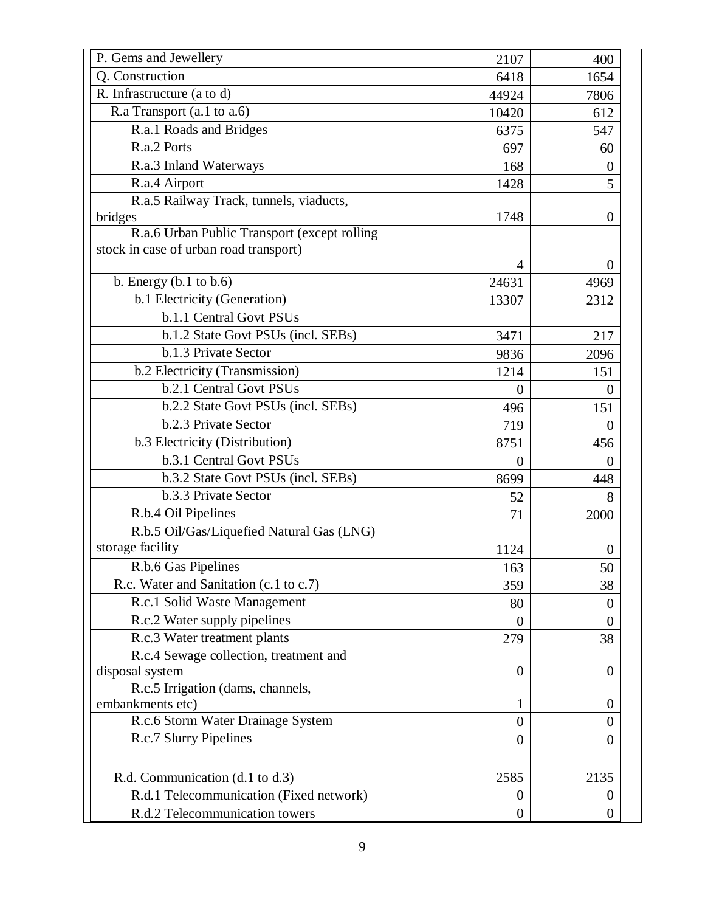| P. Gems and Jewellery                                                                  | 2107             | 400            |
|----------------------------------------------------------------------------------------|------------------|----------------|
| Q. Construction                                                                        | 6418             | 1654           |
| R. Infrastructure (a to d)                                                             | 44924            | 7806           |
| R.a Transport (a.1 to a.6)                                                             | 10420            | 612            |
| R.a.1 Roads and Bridges                                                                | 6375             | 547            |
| R.a.2 Ports                                                                            | 697              | 60             |
| R.a.3 Inland Waterways                                                                 | 168              | $\Omega$       |
| R.a.4 Airport                                                                          | 1428             | 5              |
| R.a.5 Railway Track, tunnels, viaducts,                                                |                  |                |
| bridges                                                                                | 1748             | $\Omega$       |
| R.a.6 Urban Public Transport (except rolling<br>stock in case of urban road transport) |                  |                |
|                                                                                        | 4                | $\theta$       |
| b. Energy $(b.1$ to $b.6)$                                                             | 24631            | 4969           |
| b.1 Electricity (Generation)                                                           | 13307            | 2312           |
| b.1.1 Central Govt PSUs                                                                |                  |                |
| b.1.2 State Govt PSUs (incl. SEBs)                                                     | 3471             | 217            |
| b.1.3 Private Sector                                                                   | 9836             | 2096           |
| b.2 Electricity (Transmission)                                                         | 1214             | 151            |
| b.2.1 Central Govt PSUs                                                                | $\Omega$         | $\theta$       |
| b.2.2 State Govt PSUs (incl. SEBs)                                                     | 496              | 151            |
| b.2.3 Private Sector                                                                   | 719              | $\Omega$       |
| b.3 Electricity (Distribution)                                                         | 8751             | 456            |
| b.3.1 Central Govt PSUs                                                                | $\overline{0}$   | $\theta$       |
| b.3.2 State Govt PSUs (incl. SEBs)                                                     | 8699             | 448            |
| b.3.3 Private Sector                                                                   | 52               | 8              |
| R.b.4 Oil Pipelines                                                                    | 71               | 2000           |
| R.b.5 Oil/Gas/Liquefied Natural Gas (LNG)                                              |                  |                |
| storage facility                                                                       | 1124             | $\theta$       |
| R.b.6 Gas Pipelines                                                                    | 163              | 50             |
| R.c. Water and Sanitation (c.1 to c.7)                                                 | 359              | 38             |
| R.c.1 Solid Waste Management                                                           | 80               | $\Omega$       |
| R.c.2 Water supply pipelines                                                           | $\overline{0}$   | $\overline{0}$ |
| R.c.3 Water treatment plants                                                           | 279              | 38             |
| R.c.4 Sewage collection, treatment and                                                 |                  |                |
| disposal system                                                                        | $\boldsymbol{0}$ | $\theta$       |
| R.c.5 Irrigation (dams, channels,                                                      |                  |                |
| embankments etc)                                                                       | 1                | $\theta$       |
| R.c.6 Storm Water Drainage System                                                      | $\overline{0}$   | $\theta$       |
| R.c.7 Slurry Pipelines                                                                 | $\overline{0}$   | 0              |
| R.d. Communication (d.1 to d.3)                                                        | 2585             | 2135           |
| R.d.1 Telecommunication (Fixed network)                                                | $\boldsymbol{0}$ | $\theta$       |
| R.d.2 Telecommunication towers                                                         | $\boldsymbol{0}$ | $\overline{0}$ |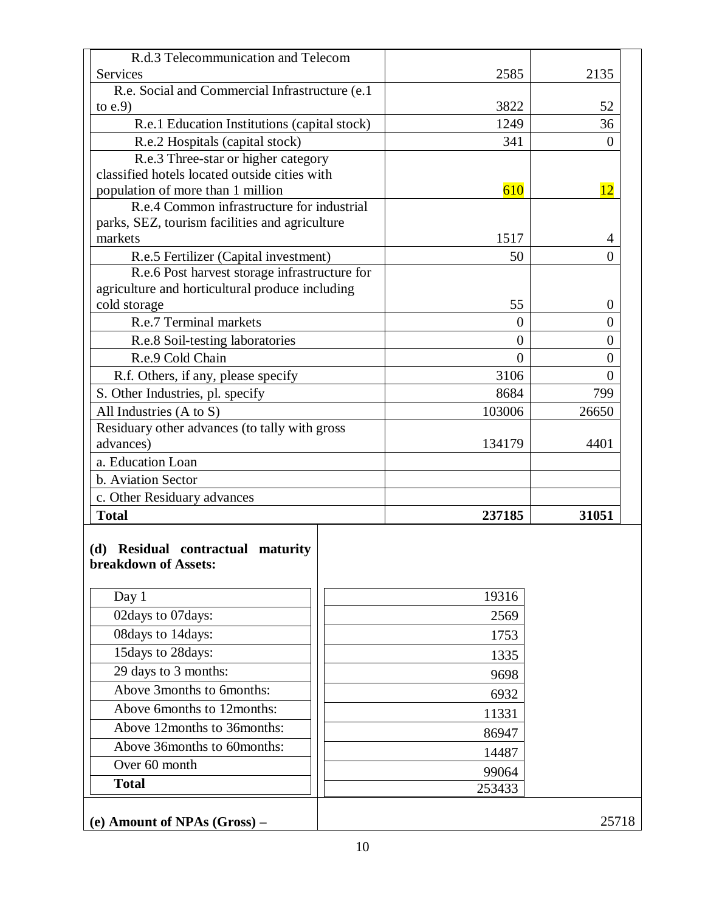| R.d.3 Telecommunication and Telecom                                                    |                 |          |
|----------------------------------------------------------------------------------------|-----------------|----------|
| Services                                                                               | 2585            | 2135     |
| R.e. Social and Commercial Infrastructure (e.1)<br>to $e.9$                            | 3822            | 52       |
| R.e.1 Education Institutions (capital stock)                                           | 1249            | 36       |
| R.e.2 Hospitals (capital stock)                                                        | 341             | $\theta$ |
| R.e.3 Three-star or higher category                                                    |                 |          |
| classified hotels located outside cities with                                          |                 |          |
| population of more than 1 million                                                      | 610             | 12       |
| R.e.4 Common infrastructure for industrial                                             |                 |          |
| parks, SEZ, tourism facilities and agriculture                                         |                 |          |
| markets                                                                                | 1517            | 4        |
| R.e.5 Fertilizer (Capital investment)<br>R.e.6 Post harvest storage infrastructure for | 50              | $\Omega$ |
| agriculture and horticultural produce including                                        |                 |          |
| cold storage                                                                           | 55              | $\theta$ |
| R.e.7 Terminal markets                                                                 | $\overline{0}$  | $\theta$ |
| R.e.8 Soil-testing laboratories                                                        | $\overline{0}$  | $\theta$ |
| R.e.9 Cold Chain                                                                       | $\theta$        | $\theta$ |
| R.f. Others, if any, please specify                                                    | 3106            | $\Omega$ |
| S. Other Industries, pl. specify                                                       | 8684            | 799      |
| All Industries (A to S)                                                                | 103006          | 26650    |
| Residuary other advances (to tally with gross                                          |                 |          |
| advances)                                                                              | 134179          | 4401     |
| a. Education Loan                                                                      |                 |          |
| b. Aviation Sector                                                                     |                 |          |
| c. Other Residuary advances                                                            |                 |          |
| <b>Total</b>                                                                           | 237185          | 31051    |
| (d) Residual contractual maturity<br>breakdown of Assets:<br>Day 1                     | 19316           |          |
| 02days to 07days:                                                                      | 2569            |          |
| 08days to 14days:                                                                      | 1753            |          |
| 15days to 28days:                                                                      | 1335            |          |
| 29 days to 3 months:                                                                   | 9698            |          |
| Above 3months to 6months:                                                              | 6932            |          |
| Above 6months to 12months:                                                             | 11331           |          |
|                                                                                        |                 |          |
| Above 12months to 36months:                                                            |                 |          |
|                                                                                        | 86947           |          |
| Above 36months to 60months:                                                            | 14487           |          |
| Over 60 month<br><b>Total</b>                                                          | 99064<br>253433 |          |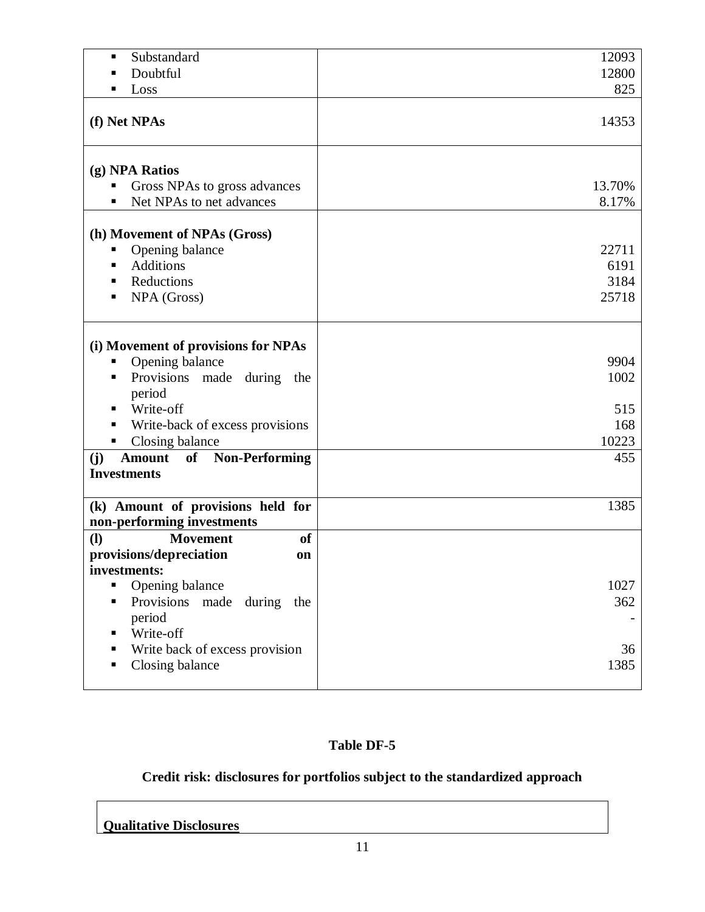| Substandard<br>٠                                                                                              | 12093                          |
|---------------------------------------------------------------------------------------------------------------|--------------------------------|
| Doubtful<br>п                                                                                                 | 12800                          |
| Loss<br>п                                                                                                     | 825                            |
|                                                                                                               |                                |
| (f) Net NPAs                                                                                                  | 14353                          |
| (g) NPA Ratios<br>Gross NPAs to gross advances<br>п<br>Net NPAs to net advances<br>٠                          | 13.70%<br>8.17%                |
|                                                                                                               |                                |
| (h) Movement of NPAs (Gross)<br>Opening balance<br>ш<br>Additions<br>٠<br>Reductions<br>п<br>NPA (Gross)<br>п | 22711<br>6191<br>3184<br>25718 |
| (i) Movement of provisions for NPAs                                                                           |                                |
| Opening balance<br>п                                                                                          | 9904                           |
| Provisions made<br>during<br>٠<br>the                                                                         | 1002                           |
| period                                                                                                        |                                |
| Write-off                                                                                                     | 515                            |
| Write-back of excess provisions                                                                               | 168                            |
| Closing balance<br>п                                                                                          | 10223                          |
| (j)<br><b>Amount</b> of Non-Performing                                                                        | 455                            |
| <b>Investments</b>                                                                                            |                                |
|                                                                                                               |                                |
| (k) Amount of provisions held for                                                                             | 1385                           |
| non-performing investments                                                                                    |                                |
| <b>of</b><br>$\mathbf{I}$<br><b>Movement</b>                                                                  |                                |
| provisions/depreciation<br>on                                                                                 |                                |
| investments:                                                                                                  |                                |
| Opening balance                                                                                               | 1027                           |
| Provisions<br>made<br>during<br>the                                                                           | 362                            |
| period                                                                                                        |                                |
| Write-off                                                                                                     |                                |
| Write back of excess provision                                                                                | 36                             |
| Closing balance                                                                                               | 1385                           |
|                                                                                                               |                                |

## **Credit risk: disclosures for portfolios subject to the standardized approach**

**Qualitative Disclosures**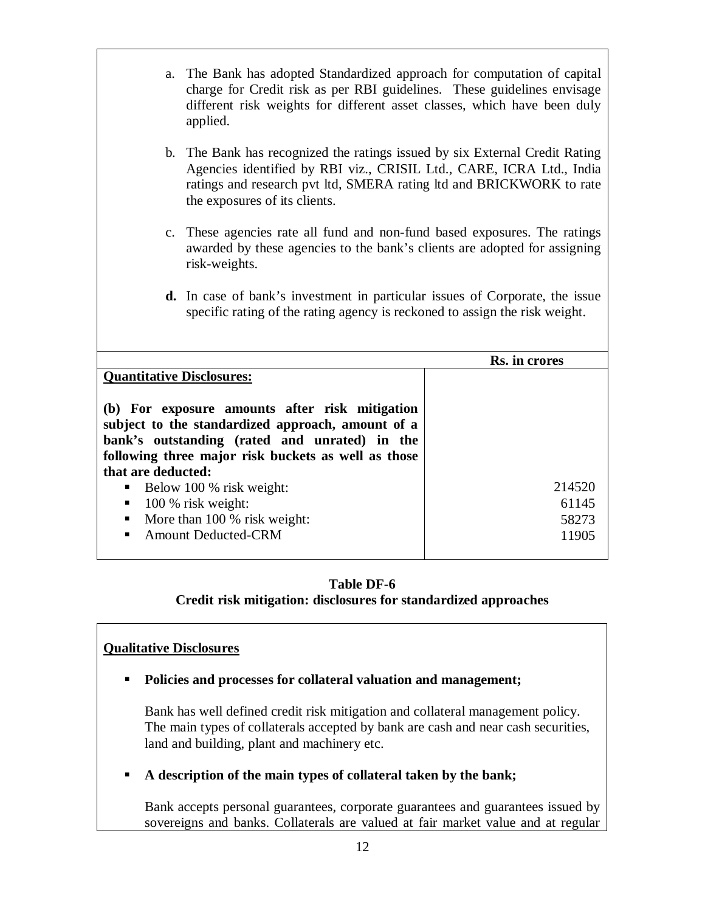- a. The Bank has adopted Standardized approach for computation of capital charge for Credit risk as per RBI guidelines. These guidelines envisage different risk weights for different asset classes, which have been duly applied.
- b. The Bank has recognized the ratings issued by six External Credit Rating Agencies identified by RBI viz., CRISIL Ltd., CARE, ICRA Ltd., India ratings and research pvt ltd, SMERA rating ltd and BRICKWORK to rate the exposures of its clients.
- c. These agencies rate all fund and non-fund based exposures. The ratings awarded by these agencies to the bank's clients are adopted for assigning risk-weights.
- **d.** In case of bank's investment in particular issues of Corporate, the issue specific rating of the rating agency is reckoned to assign the risk weight.

|                                                                                                                                                                                                                                   | Rs. in crores |
|-----------------------------------------------------------------------------------------------------------------------------------------------------------------------------------------------------------------------------------|---------------|
| <b>Quantitative Disclosures:</b>                                                                                                                                                                                                  |               |
| (b) For exposure amounts after risk mitigation<br>subject to the standardized approach, amount of a<br>bank's outstanding (rated and unrated) in the<br>following three major risk buckets as well as those<br>that are deducted: |               |
| Below 100 % risk weight:                                                                                                                                                                                                          | 214520        |
| 100 % risk weight:<br>п                                                                                                                                                                                                           | 61145         |
| More than 100 % risk weight:<br>٠                                                                                                                                                                                                 | 58273         |
| <b>Amount Deducted-CRM</b><br>$\blacksquare$                                                                                                                                                                                      | 11905         |

## **Table DF-6 Credit risk mitigation: disclosures for standardized approaches**

## **Qualitative Disclosures**

**Policies and processes for collateral valuation and management;**

Bank has well defined credit risk mitigation and collateral management policy. The main types of collaterals accepted by bank are cash and near cash securities, land and building, plant and machinery etc.

**A description of the main types of collateral taken by the bank;**

Bank accepts personal guarantees, corporate guarantees and guarantees issued by sovereigns and banks. Collaterals are valued at fair market value and at regular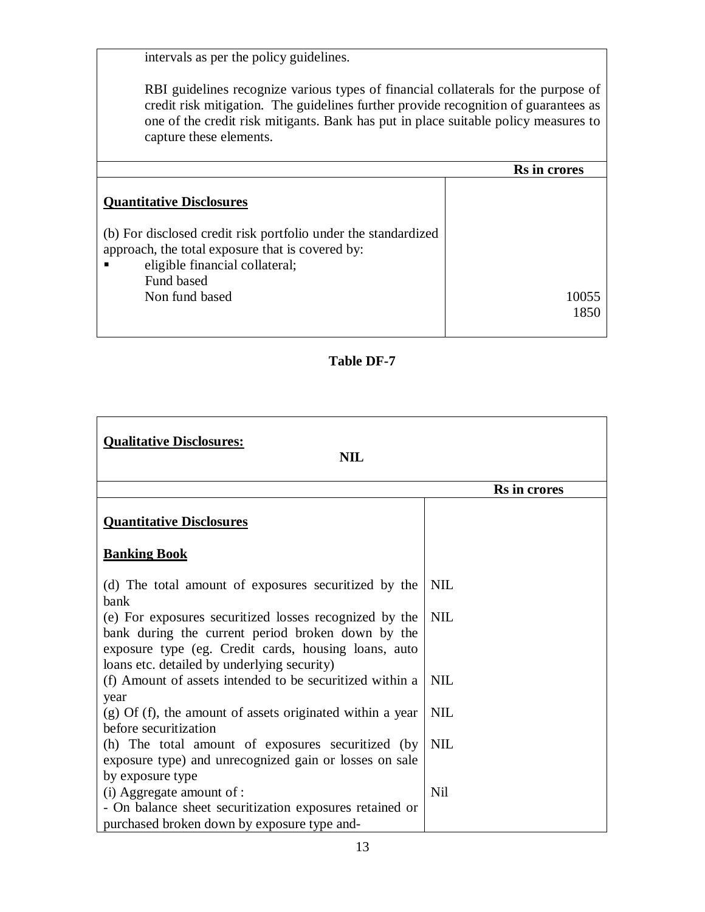intervals as per the policy guidelines.

RBI guidelines recognize various types of financial collaterals for the purpose of credit risk mitigation. The guidelines further provide recognition of guarantees as one of the credit risk mitigants. Bank has put in place suitable policy measures to capture these elements.

|                                                                                                                                                                                      | <b>Rs</b> in crores |
|--------------------------------------------------------------------------------------------------------------------------------------------------------------------------------------|---------------------|
| <b>Quantitative Disclosures</b>                                                                                                                                                      |                     |
| (b) For disclosed credit risk portfolio under the standardized<br>approach, the total exposure that is covered by:<br>eligible financial collateral;<br>Fund based<br>Non fund based | 10055<br>1850       |

## **Table DF-7**

| <b>Qualitative Disclosures:</b><br><b>NIL</b>                                                                                                                                                                              |              |  |
|----------------------------------------------------------------------------------------------------------------------------------------------------------------------------------------------------------------------------|--------------|--|
|                                                                                                                                                                                                                            | Rs in crores |  |
| <b>Quantitative Disclosures</b>                                                                                                                                                                                            |              |  |
| <b>Banking Book</b>                                                                                                                                                                                                        |              |  |
| (d) The total amount of exposures securitized by the                                                                                                                                                                       | <b>NIL</b>   |  |
| bank<br>(e) For exposures securitized losses recognized by the<br>bank during the current period broken down by the<br>exposure type (eg. Credit cards, housing loans, auto<br>loans etc. detailed by underlying security) | <b>NIL</b>   |  |
| (f) Amount of assets intended to be securitized within a<br>year                                                                                                                                                           | <b>NIL</b>   |  |
| $(g)$ Of (f), the amount of assets originated within a year<br>before securitization                                                                                                                                       | <b>NIL</b>   |  |
| (h) The total amount of exposures securitized (by<br>exposure type) and unrecognized gain or losses on sale<br>by exposure type                                                                                            | <b>NIL</b>   |  |
| (i) Aggregate amount of :<br>- On balance sheet securitization exposures retained or<br>purchased broken down by exposure type and-                                                                                        | <b>Nil</b>   |  |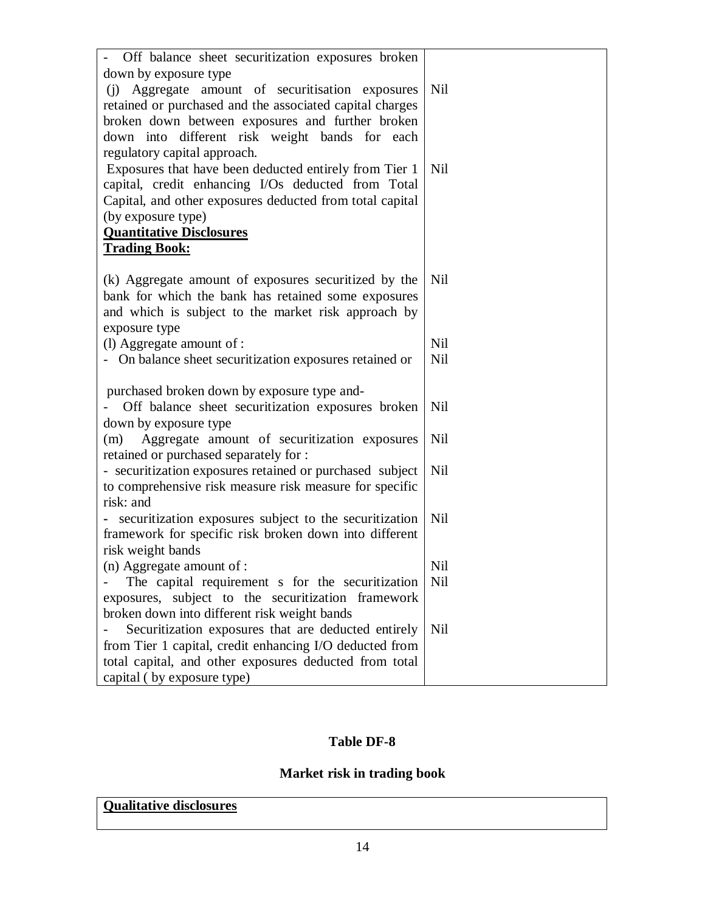| - Off balance sheet securitization exposures broken                                                          |     |
|--------------------------------------------------------------------------------------------------------------|-----|
| down by exposure type                                                                                        | Nil |
| (i) Aggregate amount of securitisation exposures<br>retained or purchased and the associated capital charges |     |
| broken down between exposures and further broken                                                             |     |
| down into different risk weight bands for each                                                               |     |
| regulatory capital approach.                                                                                 |     |
| Exposures that have been deducted entirely from Tier 1                                                       | Nil |
| capital, credit enhancing I/Os deducted from Total                                                           |     |
| Capital, and other exposures deducted from total capital                                                     |     |
| (by exposure type)                                                                                           |     |
| <b>Quantitative Disclosures</b>                                                                              |     |
| <b>Trading Book:</b>                                                                                         |     |
|                                                                                                              |     |
| (k) Aggregate amount of exposures securitized by the                                                         | Nil |
| bank for which the bank has retained some exposures                                                          |     |
| and which is subject to the market risk approach by<br>exposure type                                         |     |
| (l) Aggregate amount of :                                                                                    | Nil |
| - On balance sheet securitization exposures retained or                                                      | Nil |
|                                                                                                              |     |
| purchased broken down by exposure type and-                                                                  |     |
| Off balance sheet securitization exposures broken                                                            | Nil |
| down by exposure type                                                                                        |     |
| (m) Aggregate amount of securitization exposures                                                             | Nil |
| retained or purchased separately for :                                                                       |     |
| - securitization exposures retained or purchased subject                                                     | Nil |
| to comprehensive risk measure risk measure for specific                                                      |     |
| risk: and                                                                                                    |     |
| - securitization exposures subject to the securitization                                                     | Nil |
| framework for specific risk broken down into different<br>risk weight bands                                  |     |
| $(n)$ Aggregate amount of :                                                                                  | Nil |
| The capital requirement s for the securitization                                                             | Nil |
| exposures, subject to the securitization framework                                                           |     |
| broken down into different risk weight bands                                                                 |     |
| Securitization exposures that are deducted entirely                                                          | Nil |
| from Tier 1 capital, credit enhancing I/O deducted from                                                      |     |
| total capital, and other exposures deducted from total                                                       |     |
| capital (by exposure type)                                                                                   |     |

## **Market risk in trading book**

## **Qualitative disclosures**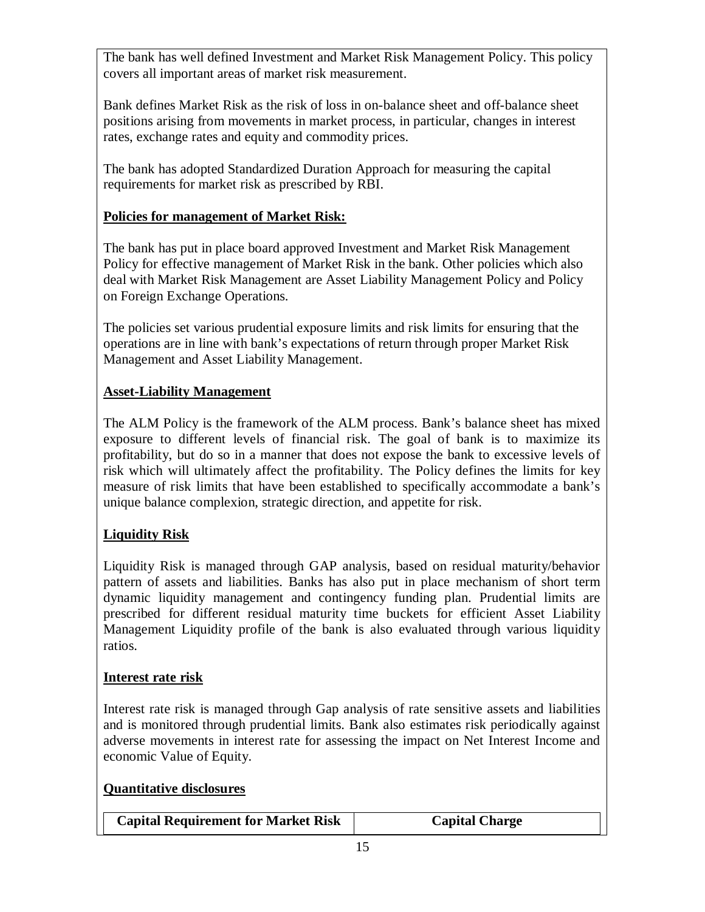The bank has well defined Investment and Market Risk Management Policy. This policy covers all important areas of market risk measurement.

Bank defines Market Risk as the risk of loss in on-balance sheet and off-balance sheet positions arising from movements in market process, in particular, changes in interest rates, exchange rates and equity and commodity prices.

The bank has adopted Standardized Duration Approach for measuring the capital requirements for market risk as prescribed by RBI.

## **Policies for management of Market Risk:**

The bank has put in place board approved Investment and Market Risk Management Policy for effective management of Market Risk in the bank. Other policies which also deal with Market Risk Management are Asset Liability Management Policy and Policy on Foreign Exchange Operations.

The policies set various prudential exposure limits and risk limits for ensuring that the operations are in line with bank's expectations of return through proper Market Risk Management and Asset Liability Management.

## **Asset-Liability Management**

The ALM Policy is the framework of the ALM process. Bank's balance sheet has mixed exposure to different levels of financial risk. The goal of bank is to maximize its profitability, but do so in a manner that does not expose the bank to excessive levels of risk which will ultimately affect the profitability. The Policy defines the limits for key measure of risk limits that have been established to specifically accommodate a bank's unique balance complexion, strategic direction, and appetite for risk.

## **Liquidity Risk**

Liquidity Risk is managed through GAP analysis, based on residual maturity/behavior pattern of assets and liabilities. Banks has also put in place mechanism of short term dynamic liquidity management and contingency funding plan. Prudential limits are prescribed for different residual maturity time buckets for efficient Asset Liability Management Liquidity profile of the bank is also evaluated through various liquidity ratios.

## **Interest rate risk**

Interest rate risk is managed through Gap analysis of rate sensitive assets and liabilities and is monitored through prudential limits. Bank also estimates risk periodically against adverse movements in interest rate for assessing the impact on Net Interest Income and economic Value of Equity.

## **Quantitative disclosures**

| <b>Capital Requirement for Market Risk</b> | <b>Capital Charge</b> |
|--------------------------------------------|-----------------------|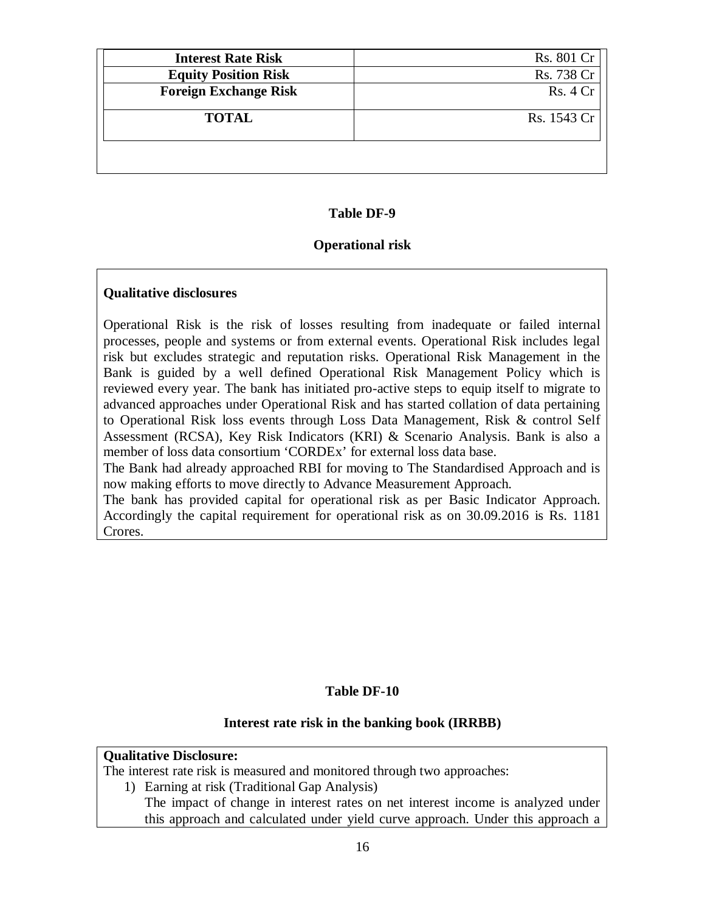| <b>Interest Rate Risk</b>    | Rs. 801 Cr  |
|------------------------------|-------------|
| <b>Equity Position Risk</b>  | Rs. 738 Cr  |
| <b>Foreign Exchange Risk</b> | Rs. 4Cr     |
| <b>TOTAL</b>                 | Rs. 1543 Cr |
|                              |             |

#### **Operational risk**

#### **Qualitative disclosures**

Operational Risk is the risk of losses resulting from inadequate or failed internal processes, people and systems or from external events. Operational Risk includes legal risk but excludes strategic and reputation risks. Operational Risk Management in the Bank is guided by a well defined Operational Risk Management Policy which is reviewed every year. The bank has initiated pro-active steps to equip itself to migrate to advanced approaches under Operational Risk and has started collation of data pertaining to Operational Risk loss events through Loss Data Management, Risk & control Self Assessment (RCSA), Key Risk Indicators (KRI) & Scenario Analysis. Bank is also a member of loss data consortium 'CORDEx' for external loss data base.

The Bank had already approached RBI for moving to The Standardised Approach and is now making efforts to move directly to Advance Measurement Approach.

The bank has provided capital for operational risk as per Basic Indicator Approach. Accordingly the capital requirement for operational risk as on 30.09.2016 is Rs. 1181 Crores.

#### **Table DF-10**

#### **Interest rate risk in the banking book (IRRBB)**

#### **Qualitative Disclosure:**

The interest rate risk is measured and monitored through two approaches:

- 1) Earning at risk (Traditional Gap Analysis)
	- The impact of change in interest rates on net interest income is analyzed under this approach and calculated under yield curve approach. Under this approach a